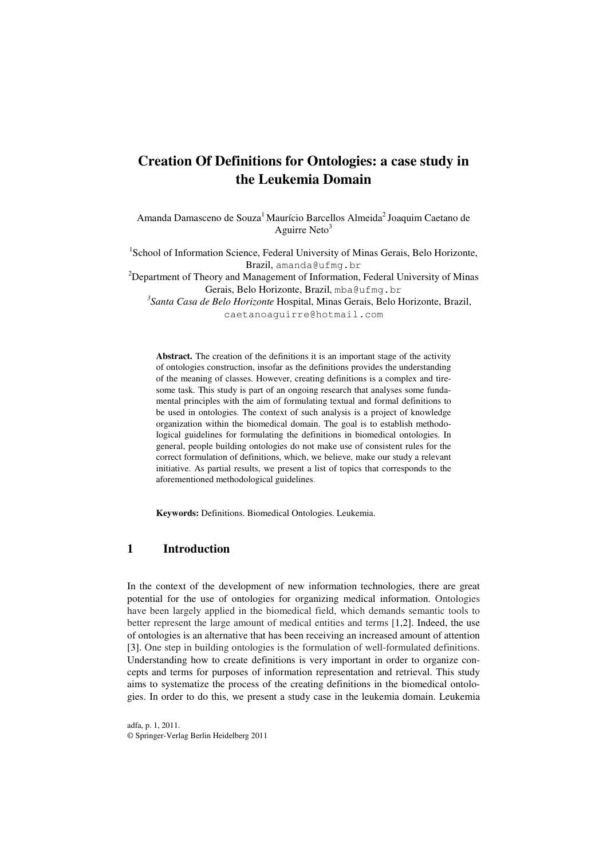# **Creation Of Definitions for Ontologies: a case study in the Leukemia Domain**

Amanda Damasceno de Souza<sup>1</sup> Maurício Barcellos Almeida<sup>2</sup> Joaquim Caetano de Aguirre Neto<sup>3</sup>

<sup>1</sup>School of Information Science, Federal University of Minas Gerais, Belo Horizonte, Brazil, amanda@ufmg.br

<sup>2</sup>Department of Theory and Management of Information, Federal University of Minas Gerais, Belo Horizonte, Brazil, mba@ufmg.br

*3 Santa Casa de Belo Horizonte* Hospital, Minas Gerais, Belo Horizonte, Brazil, caetanoaguirre@hotmail.com

**Abstract.** The creation of the definitions it is an important stage of the activity of ontologies construction, insofar as the definitions provides the understanding of the meaning of classes. However, creating definitions is a complex and tiresome task. This study is part of an ongoing research that analyses some fundamental principles with the aim of formulating textual and formal definitions to be used in ontologies. The context of such analysis is a project of knowledge organization within the biomedical domain. The goal is to establish methodological guidelines for formulating the definitions in biomedical ontologies. In general, people building ontologies do not make use of consistent rules for the correct formulation of definitions, which, we believe, make our study a relevant initiative. As partial results, we present a list of topics that corresponds to the aforementioned methodological guidelines.

**Keywords:** Definitions. Biomedical Ontologies. Leukemia.

### **1 Introduction**

In the context of the development of new information technologies, there are great potential for the use of ontologies for organizing medical information. Ontologies have been largely applied in the biomedical field, which demands semantic tools to better represent the large amount of medical entities and terms [1,2]. Indeed, the use of ontologies is an alternative that has been receiving an increased amount of attention [3]. One step in building ontologies is the formulation of well-formulated definitions. Understanding how to create definitions is very important in order to organize concepts and terms for purposes of information representation and retrieval. This study aims to systematize the process of the creating definitions in the biomedical ontologies. In order to do this, we present a study case in the leukemia domain. Leukemia

adfa, p. 1, 2011. © Springer-Verlag Berlin Heidelberg 2011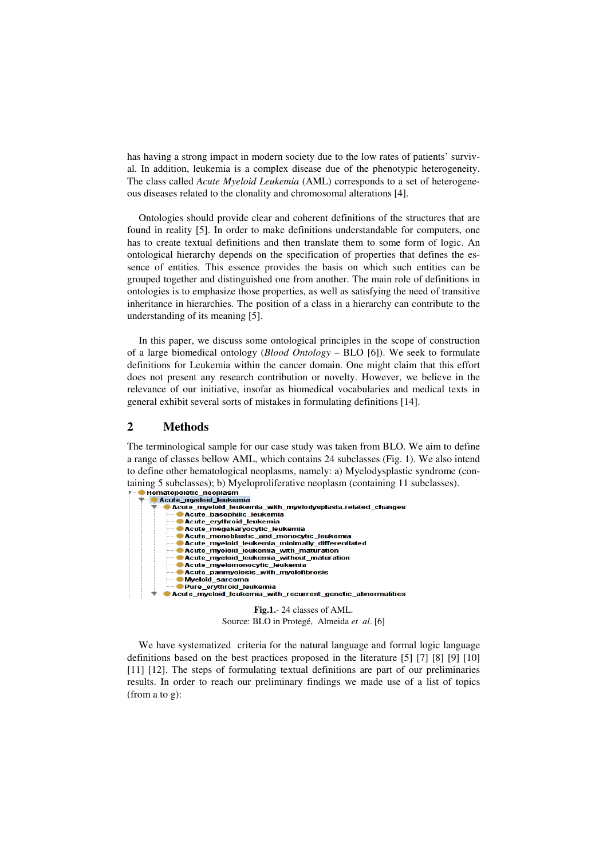has having a strong impact in modern society due to the low rates of patients' survival. In addition, leukemia is a complex disease due of the phenotypic heterogeneity. The class called *Acute Myeloid Leukemia* (AML) corresponds to a set of heterogeneous diseases related to the clonality and chromosomal alterations [4].

Ontologies should provide clear and coherent definitions of the structures that are found in reality [5]. In order to make definitions understandable for computers, one has to create textual definitions and then translate them to some form of logic. An ontological hierarchy depends on the specification of properties that defines the essence of entities. This essence provides the basis on which such entities can be grouped together and distinguished one from another. The main role of definitions in ontologies is to emphasize those properties, as well as satisfying the need of transitive inheritance in hierarchies. The position of a class in a hierarchy can contribute to the understanding of its meaning [5].

In this paper, we discuss some ontological principles in the scope of construction of a large biomedical ontology (*Blood Ontology* – BLO [6]). We seek to formulate definitions for Leukemia within the cancer domain. One might claim that this effort does not present any research contribution or novelty. However, we believe in the relevance of our initiative, insofar as biomedical vocabularies and medical texts in general exhibit several sorts of mistakes in formulating definitions [14].

#### **2 Methods**

The terminological sample for our case study was taken from BLO. We aim to define a range of classes bellow AML, which contains 24 subclasses (Fig. 1). We also intend to define other hematological neoplasms, namely: a) Myelodysplastic syndrome (containing 5 subclasses); b) Myeloproliferative neoplasm (containing 11 subclasses).

| <u>nchalopoicae neoplasm</u>                                       |
|--------------------------------------------------------------------|
| Acute myeloid leukemia                                             |
| Acute myeloid leukemia with myelodysplasia-related changes         |
| Acute basophilic leukemia                                          |
| Acute erythroid leukemia<br>1                                      |
| Acute megakaryocytic leukemia                                      |
| Acute monoblastic and monocytic leukemia<br>$1 - 1 - 1$            |
| Acute myeloid leukemia minimally differentiated<br>. 1             |
| Acute myeloid leukemia with maturation<br>1.1.1.1.1                |
| Acute myeloid leukemia without maturation<br>. 1                   |
| Acute myelomonocytic leukemia<br>5                                 |
| Acute panmyelosis with myelofibrosis<br>. 1                        |
| <b>Myeloid sarcoma</b><br>. 1                                      |
| <b>Pure erythroid leukemia</b>                                     |
| Acute myeloid leukemia with recurrent genetic abnormalities<br>₩…… |
|                                                                    |

**Fig.1.**- 24 classes of AML. Source: BLO in Protegé, Almeida *et al*. [6]

We have systematized criteria for the natural language and formal logic language definitions based on the best practices proposed in the literature [5] [7] [8] [9] [10] [11] [12]. The steps of formulating textual definitions are part of our preliminaries results. In order to reach our preliminary findings we made use of a list of topics (from a to g):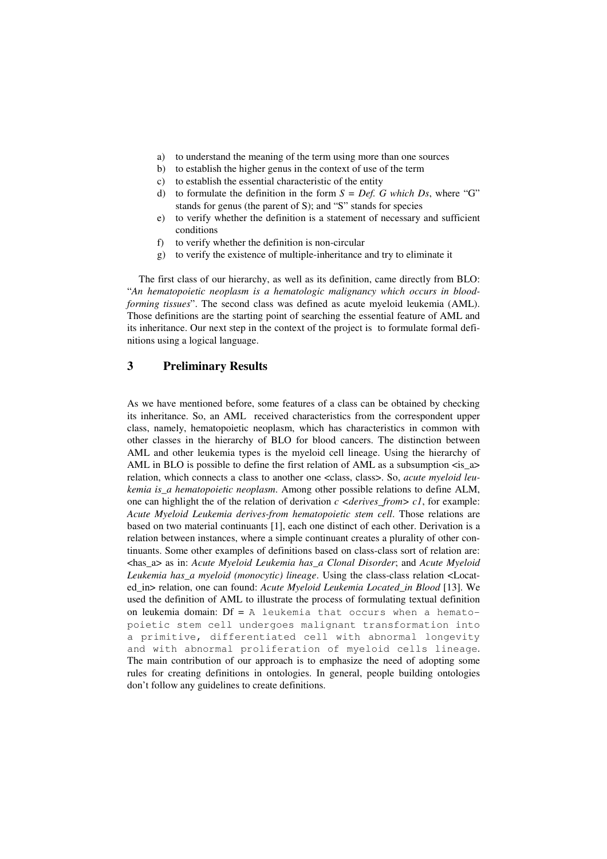- a) to understand the meaning of the term using more than one sources
- b) to establish the higher genus in the context of use of the term
- c) to establish the essential characteristic of the entity
- d) to formulate the definition in the form *S = Def. G which Ds*, where "G" stands for genus (the parent of S); and "S" stands for species
- e) to verify whether the definition is a statement of necessary and sufficient conditions
- f) to verify whether the definition is non-circular
- g) to verify the existence of multiple-inheritance and try to eliminate it

The first class of our hierarchy, as well as its definition, came directly from BLO: "*An hematopoietic neoplasm is a hematologic malignancy which occurs in bloodforming tissues*". The second class was defined as acute myeloid leukemia (AML). Those definitions are the starting point of searching the essential feature of AML and its inheritance. Our next step in the context of the project is to formulate formal definitions using a logical language.

## **3 Preliminary Results**

As we have mentioned before, some features of a class can be obtained by checking its inheritance. So, an AML received characteristics from the correspondent upper class, namely, hematopoietic neoplasm, which has characteristics in common with other classes in the hierarchy of BLO for blood cancers. The distinction between AML and other leukemia types is the myeloid cell lineage. Using the hierarchy of AML in BLO is possible to define the first relation of AML as a subsumption  $\langle$ is\_a $\rangle$ relation, which connects a class to another one <class, class>. So, *acute myeloid leukemia is\_a hematopoietic neoplasm*. Among other possible relations to define ALM, one can highlight the of the relation of derivation *c <derives\_from> c1*, for example: *Acute Myeloid Leukemia derives-from hematopoietic stem cell*. Those relations are based on two material continuants [1], each one distinct of each other. Derivation is a relation between instances, where a simple continuant creates a plurality of other continuants. Some other examples of definitions based on class-class sort of relation are: <has\_a> as in: *Acute Myeloid Leukemia has\_a Clonal Disorder*; and *Acute Myeloid Leukemia has\_a myeloid (monocytic) lineage*. Using the class-class relation <Located\_in> relation, one can found: *Acute Myeloid Leukemia Located\_in Blood* [13]. We used the definition of AML to illustrate the process of formulating textual definition on leukemia domain: Df = A leukemia that occurs when a hematopoietic stem cell undergoes malignant transformation into a primitive, differentiated cell with abnormal longevity and with abnormal proliferation of myeloid cells lineage. The main contribution of our approach is to emphasize the need of adopting some rules for creating definitions in ontologies. In general, people building ontologies don't follow any guidelines to create definitions.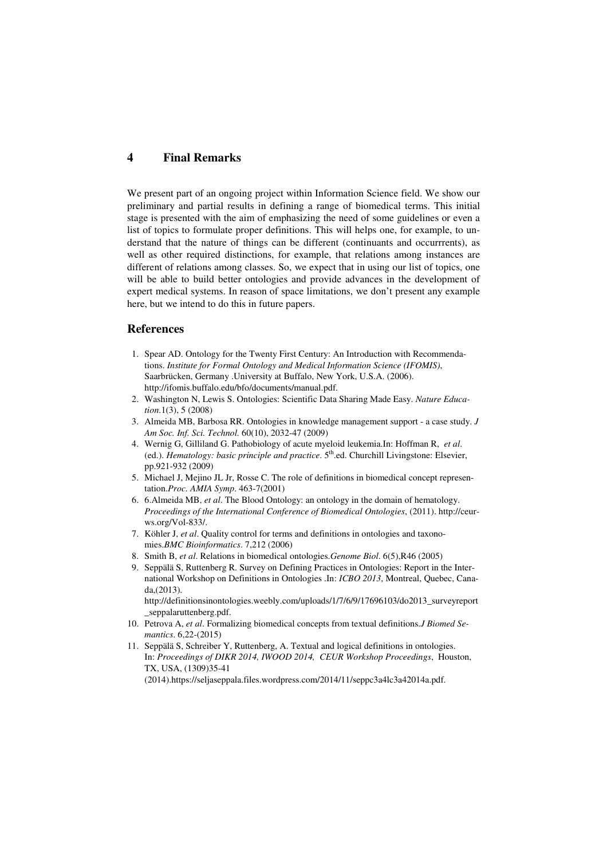### **4 Final Remarks**

We present part of an ongoing project within Information Science field. We show our preliminary and partial results in defining a range of biomedical terms. This initial stage is presented with the aim of emphasizing the need of some guidelines or even a list of topics to formulate proper definitions. This will helps one, for example, to understand that the nature of things can be different (continuants and occurrrents), as well as other required distinctions, for example, that relations among instances are different of relations among classes. So, we expect that in using our list of topics, one will be able to build better ontologies and provide advances in the development of expert medical systems. In reason of space limitations, we don't present any example here, but we intend to do this in future papers.

#### **References**

- 1. Spear AD. Ontology for the Twenty First Century: An Introduction with Recommendations. *Institute for Formal Ontology and Medical Information Science (IFOMIS)*, Saarbrücken, Germany .University at Buffalo, New York, U.S.A. (2006). http://ifomis.buffalo.edu/bfo/documents/manual.pdf.
- 2. Washington N, Lewis S. Ontologies: Scientific Data Sharing Made Easy. *Nature Education*.1(3), 5 (2008)
- 3. Almeida MB, Barbosa RR. Ontologies in knowledge management support a case study. *J Am Soc. Inf. Sci. Technol.* 60(10), 2032-47 (2009)
- 4. Wernig G, Gilliland G. Pathobiology of acute myeloid leukemia.In: Hoffman R, *et al*. (ed.). *Hematology: basic principle and practice*. 5<sup>th</sup>.ed. Churchill Livingstone: Elsevier, pp.921-932 (2009)
- 5. Michael J, Mejino JL Jr, Rosse C. The role of definitions in biomedical concept representation.*Proc. AMIA Symp*. 463-7(2001)
- 6. 6.Almeida MB, *et al*. The Blood Ontology: an ontology in the domain of hematology. *Proceedings of the International Conference of Biomedical Ontologies*, (2011). http://ceurws.org/Vol-833/.
- 7. Köhler J, *et al*. Quality control for terms and definitions in ontologies and taxonomies.*BMC Bioinformatics*. 7,212 (2006)
- 8. Smith B, *et al*. Relations in biomedical ontologies.*Genome Biol*. 6(5),R46 (2005)
- 9. Seppälä S, Ruttenberg R. Survey on Defining Practices in Ontologies: Report in the International Workshop on Definitions in Ontologies .In: *ICBO 2013*, Montreal, Quebec, Canada,(2013).

http://definitionsinontologies.weebly.com/uploads/1/7/6/9/17696103/do2013\_surveyreport \_seppalaruttenberg.pdf.

- 10. Petrova A, *et al*. Formalizing biomedical concepts from textual definitions.*J Biomed Semantics*. 6,22-(2015)
- 11. Seppälä S, Schreiber Y, Ruttenberg, A. Textual and logical definitions in ontologies. In: *Proceedings of DIKR 2014, IWOOD 2014, CEUR Workshop Proceedings*, Houston, TX, USA, (1309)35-41

(2014).https://seljaseppala.files.wordpress.com/2014/11/seppc3a4lc3a42014a.pdf.